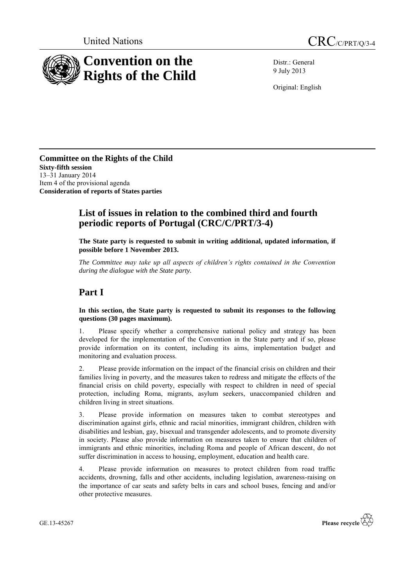



Distr.: General 9 July 2013

Original: English

**Committee on the Rights of the Child Sixty-fifth session** 13–31 January 2014 Item 4 of the provisional agenda **Consideration of reports of States parties**

## **List of issues in relation to the combined third and fourth periodic reports of Portugal (CRC/C/PRT/3-4)**

**The State party is requested to submit in writing additional, updated information, if possible before 1 November 2013.**

*The Committee may take up all aspects of children's rights contained in the Convention during the dialogue with the State party.* 

# **Part I**

**In this section, the State party is requested to submit its responses to the following questions (30 pages maximum).**

1. Please specify whether a comprehensive national policy and strategy has been developed for the implementation of the Convention in the State party and if so, please provide information on its content, including its aims, implementation budget and monitoring and evaluation process.

2. Please provide information on the impact of the financial crisis on children and their families living in poverty, and the measures taken to redress and mitigate the effects of the financial crisis on child poverty, especially with respect to children in need of special protection, including Roma, migrants, asylum seekers, unaccompanied children and children living in street situations.

3. Please provide information on measures taken to combat stereotypes and discrimination against girls, ethnic and racial minorities, immigrant children, children with disabilities and lesbian, gay, bisexual and transgender adolescents, and to promote diversity in society. Please also provide information on measures taken to ensure that children of immigrants and ethnic minorities, including Roma and people of African descent, do not suffer discrimination in access to housing, employment, education and health care.

4. Please provide information on measures to protect children from road traffic accidents, drowning, falls and other accidents, including legislation, awareness-raising on the importance of car seats and safety belts in cars and school buses, fencing and and/or other protective measures.

GE.13-45267

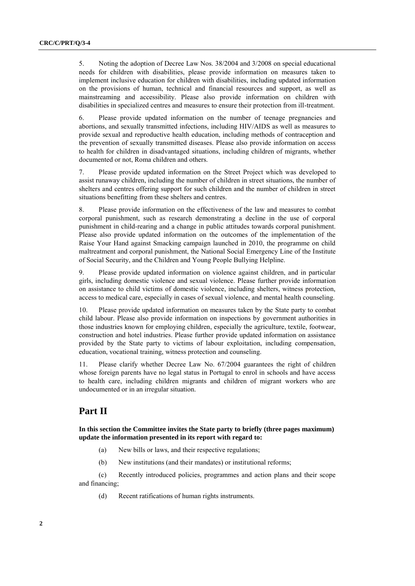5. Noting the adoption of Decree Law Nos. 38/2004 and 3/2008 on special educational needs for children with disabilities, please provide information on measures taken to implement inclusive education for children with disabilities, including updated information on the provisions of human, technical and financial resources and support, as well as mainstreaming and accessibility. Please also provide information on children with disabilities in specialized centres and measures to ensure their protection from ill-treatment.

6. Please provide updated information on the number of teenage pregnancies and abortions, and sexually transmitted infections, including HIV/AIDS as well as measures to provide sexual and reproductive health education, including methods of contraception and the prevention of sexually transmitted diseases. Please also provide information on access to health for children in disadvantaged situations, including children of migrants, whether documented or not, Roma children and others.

7. Please provide updated information on the Street Project which was developed to assist runaway children, including the number of children in street situations, the number of shelters and centres offering support for such children and the number of children in street situations benefitting from these shelters and centres.

8. Please provide information on the effectiveness of the law and measures to combat corporal punishment, such as research demonstrating a decline in the use of corporal punishment in child-rearing and a change in public attitudes towards corporal punishment. Please also provide updated information on the outcomes of the implementation of the Raise Your Hand against Smacking campaign launched in 2010, the programme on child maltreatment and corporal punishment, the National Social Emergency Line of the Institute of Social Security, and the Children and Young People Bullying Helpline.

9. Please provide updated information on violence against children, and in particular girls, including domestic violence and sexual violence. Please further provide information on assistance to child victims of domestic violence, including shelters, witness protection, access to medical care, especially in cases of sexual violence, and mental health counseling.

10. Please provide updated information on measures taken by the State party to combat child labour. Please also provide information on inspections by government authorities in those industries known for employing children, especially the agriculture, textile, footwear, construction and hotel industries. Please further provide updated information on assistance provided by the State party to victims of labour exploitation, including compensation, education, vocational training, witness protection and counseling.

11. Please clarify whether Decree Law No. 67/2004 guarantees the right of children whose foreign parents have no legal status in Portugal to enrol in schools and have access to health care, including children migrants and children of migrant workers who are undocumented or in an irregular situation.

## **Part II**

**In this section the Committee invites the State party to briefly (three pages maximum) update the information presented in its report with regard to:**

- (a) New bills or laws, and their respective regulations;
- (b) New institutions (and their mandates) or institutional reforms;

(c) Recently introduced policies, programmes and action plans and their scope and financing;

(d) Recent ratifications of human rights instruments.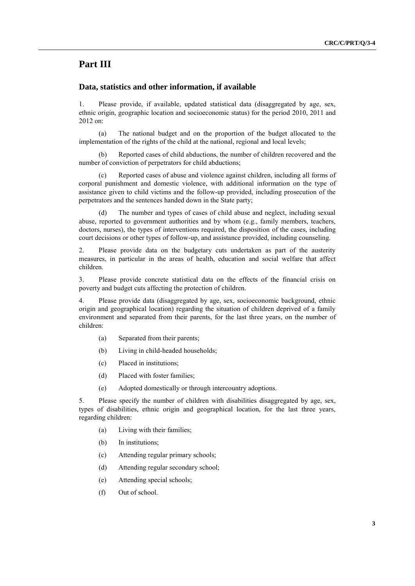#### **Part III**

#### **Data, statistics and other information, if available**

1. Please provide, if available, updated statistical data (disaggregated by age, sex, ethnic origin, geographic location and socioeconomic status) for the period 2010, 2011 and 2012 on:

(a) The national budget and on the proportion of the budget allocated to the implementation of the rights of the child at the national, regional and local levels;

Reported cases of child abductions, the number of children recovered and the number of conviction of perpetrators for child abductions;

(c) Reported cases of abuse and violence against children, including all forms of corporal punishment and domestic violence, with additional information on the type of assistance given to child victims and the follow-up provided, including prosecution of the perpetrators and the sentences handed down in the State party;

The number and types of cases of child abuse and neglect, including sexual abuse, reported to government authorities and by whom (e.g., family members, teachers, doctors, nurses), the types of interventions required, the disposition of the cases, including court decisions or other types of follow-up, and assistance provided, including counseling.

2. Please provide data on the budgetary cuts undertaken as part of the austerity measures, in particular in the areas of health, education and social welfare that affect children.

3. Please provide concrete statistical data on the effects of the financial crisis on poverty and budget cuts affecting the protection of children.

4. Please provide data (disaggregated by age, sex, socioeconomic background, ethnic origin and geographical location) regarding the situation of children deprived of a family environment and separated from their parents, for the last three years, on the number of children:

- (a) Separated from their parents;
- (b) Living in child-headed households;
- (c) Placed in institutions;
- (d) Placed with foster families;
- (e) Adopted domestically or through intercountry adoptions.

5. Please specify the number of children with disabilities disaggregated by age, sex, types of disabilities, ethnic origin and geographical location, for the last three years, regarding children:

- (a) Living with their families;
- (b) In institutions;
- (c) Attending regular primary schools;
- (d) Attending regular secondary school;
- (e) Attending special schools;
- (f) Out of school.